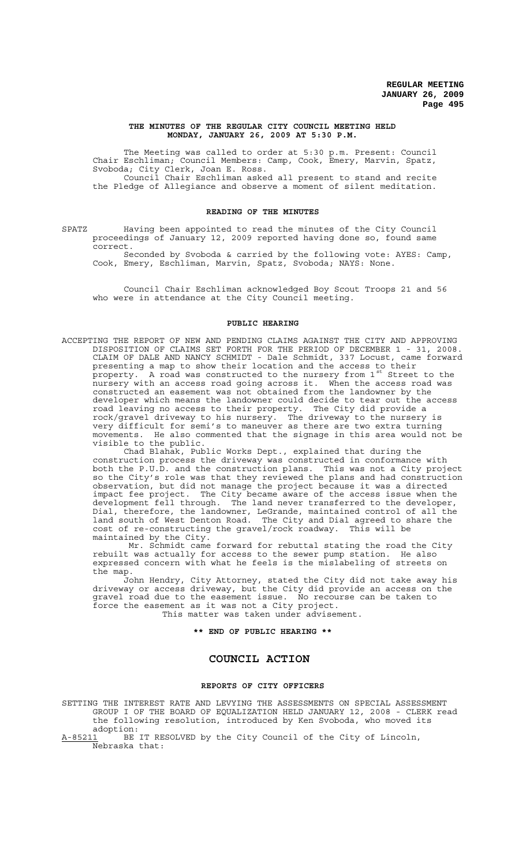### **THE MINUTES OF THE REGULAR CITY COUNCIL MEETING HELD MONDAY, JANUARY 26, 2009 AT 5:30 P.M.**

The Meeting was called to order at 5:30 p.m. Present: Council Chair Eschliman; Council Members: Camp, Cook, Emery, Marvin, Spatz, Svoboda; City Clerk, Joan E. Ross. Council Chair Eschliman asked all present to stand and recite the Pledge of Allegiance and observe a moment of silent meditation.

### **READING OF THE MINUTES**

SPATZ Having been appointed to read the minutes of the City Council proceedings of January 12, 2009 reported having done so, found same correct.

Seconded by Svoboda & carried by the following vote: AYES: Camp, Cook, Emery, Eschliman, Marvin, Spatz, Svoboda; NAYS: None.

Council Chair Eschliman acknowledged Boy Scout Troops 21 and 56 who were in attendance at the City Council meeting.

#### **PUBLIC HEARING**

ACCEPTING THE REPORT OF NEW AND PENDING CLAIMS AGAINST THE CITY AND APPROVING DISPOSITION OF CLAIMS SET FORTH FOR THE PERIOD OF DECEMBER 1 - 31, 2008. CLAIM OF DALE AND NANCY SCHMIDT - Dale Schmidt, 337 Locust, came forward presenting a map to show their location and the access to their .<br>property. A road was constructed to the nursery from 1<sup>st</sup> Street to the nursery with an access road going across it. When the access road was constructed an easement was not obtained from the landowner by the developer which means the landowner could decide to tear out the access road leaving no access to their property. The City did provide a rock/gravel driveway to his nursery. The driveway to the nursery is very difficult for semi's to maneuver as there are two extra turning movements. He also commented that the signage in this area would not be visible to the public.

Chad Blahak, Public Works Dept., explained that during the construction process the driveway was constructed in conformance with both the P.U.D. and the construction plans. This was not a City project so the City's role was that they reviewed the plans and had construction observation, but did not manage the project because it was a directed impact fee project. The City became aware of the access issue when the development fell through. The land never transferred to the developer, Dial, therefore, the landowner, LeGrande, maintained control of all the land south of West Denton Road. The City and Dial agreed to share the cost of re-constructing the gravel/rock roadway. This will be maintained by the City.

 Mr. Schmidt came forward for rebuttal stating the road the City rebuilt was actually for access to the sewer pump station. He also expressed concern with what he feels is the mislabeling of streets on the map.

John Hendry, City Attorney, stated the City did not take away his driveway or access driveway, but the City did provide an access on the gravel road due to the easement issue. No recourse can be taken to force the easement as it was not a City project. This matter was taken under advisement.

**\*\* END OF PUBLIC HEARING \*\***

# **COUNCIL ACTION**

### **REPORTS OF CITY OFFICERS**

SETTING THE INTEREST RATE AND LEVYING THE ASSESSMENTS ON SPECIAL ASSESSMENT GROUP I OF THE BOARD OF EQUALIZATION HELD JANUARY 12, 2008 - CLERK read the following resolution, introduced by Ken Svoboda, who moved its adoption:

A-85211 BE IT RESOLVED by the City Council of the City of Lincoln, Nebraska that: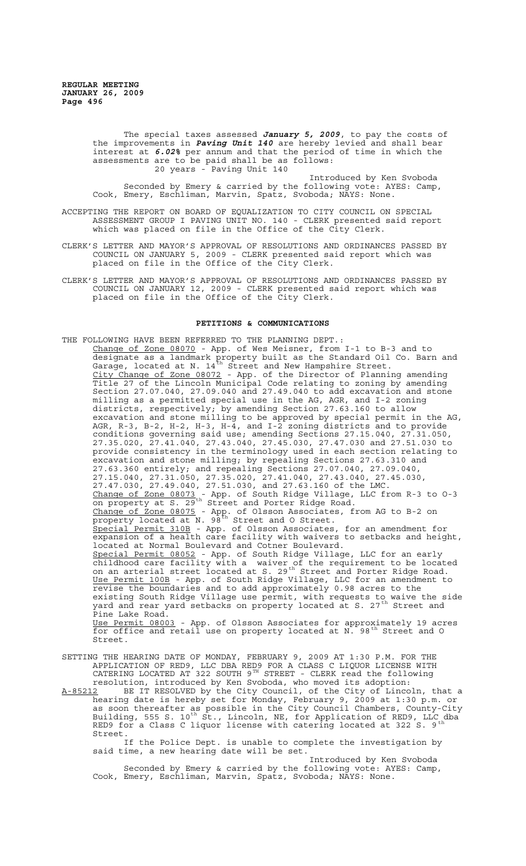The special taxes assessed *January 5, 2009*, to pay the costs of the improvements in *Paving Unit 140* are hereby levied and shall bear interest at *6.02%* per annum and that the period of time in which the assessments are to be paid shall be as follows: 20 years - Paving Unit 140

Introduced by Ken Svoboda Seconded by Emery & carried by the following vote: AYES: Camp, Cook, Emery, Eschliman, Marvin, Spatz, Svoboda; NAYS: None.

- ACCEPTING THE REPORT ON BOARD OF EQUALIZATION TO CITY COUNCIL ON SPECIAL ASSESSMENT GROUP I PAVING UNIT NO. 140 - CLERK presented said report which was placed on file in the Office of the City Clerk.
- CLERK'S LETTER AND MAYOR'S APPROVAL OF RESOLUTIONS AND ORDINANCES PASSED BY COUNCIL ON JANUARY 5, 2009 - CLERK presented said report which was placed on file in the Office of the City Clerk.
- CLERK'S LETTER AND MAYOR'S APPROVAL OF RESOLUTIONS AND ORDINANCES PASSED BY COUNCIL ON JANUARY 12, 2009 - CLERK presented said report which was placed on file in the Office of the City Clerk.

### **PETITIONS & COMMUNICATIONS**

- THE FOLLOWING HAVE BEEN REFERRED TO THE PLANNING DEPT.: Change of Zone 08070 - App. of Wes Meisner, from I-1 to B-3 and to designate as a landmark property built as the Standard Oil Co. Barn and Garage, located at N.  $14^{\text{th}}$  Street and New Hampshire Street. City Change of Zone 08072 - App. of the Director of Planning amending Title 27 of the Lincoln Municipal Code relating to zoning by amending Section 27.07.040, 27.09.040 and 27.49.040 to add excavation and stone milling as a permitted special use in the AG, AGR, and I-2 zoning districts, respectively; by amending Section 27.63.160 to allow excavation and stone milling to be approved by special permit in the AG, AGR, R-3, B-2, H-2, H-3, H-4, and I-2 zoning districts and to provide conditions governing said use; amending Sections 27.15.040, 27.31.050, 27.35.020, 27.41.040, 27.43.040, 27.45.030, 27.47.030 and 27.51.030 to provide consistency in the terminology used in each section relating to excavation and stone milling; by repealing Sections 27.63.310 and 27.63.360 entirely; and repealing Sections 27.07.040, 27.09.040, 27.15.040, 27.31.050, 27.35.020, 27.41.040, 27.43.040, 27.45.030, 27.47.030, 27.49.040, 27.51.030, and 27.63.160 of the LMC. Change of Zone 08073 - App. of South Ridge Village, LLC from R-3 to 0-3 on property at S. 29<sup>th</sup> Street and Porter Ridge Road. Change of Zone 08075 - App. of Olsson Associates, from AG to B-2 on Change of Zone 08075 - App. of Olsson Associates, from AG to B-2 on<br>property located at N. 98<sup>th</sup> Street and O Street. Special Permit 310B - App. of Olsson Associates, for an amendment for expansion of a health care facility with waivers to setbacks and height, located at Normal Boulevard and Cotner Boulevard. Special Permit 08052 - App. of South Ridge Village, LLC for an early childhood care facility with a waiver of the requirement to be located on an arterial street located at S. 29<sup>th</sup> Street and Porter Ridge Road. Use Permit 100B - App. of South Ridge Village, LLC for an amendment to revise the boundaries and to add approximately 0.98 acres to the existing South Ridge Village use permit, with requests to waive the side yard and rear yard setbacks on property located at S. 27<sup>th</sup> Street and Pine Lake Road. Use Permit 08003 - App. of Olsson Associates for approximately 19 acres for office and retail use on property located at N. 98<sup>th</sup> Street and O Street.
- SETTING THE HEARING DATE OF MONDAY, FEBRUARY 9, 2009 AT 1:30 P.M. FOR THE APPLICATION OF RED9, LLC DBA RED9 FOR A CLASS C LIQUOR LICENSE WITH CATERING LOCATED AT 322 SOUTH  $9^{TH}$  STREET - CLERK read the following resolution, introduced by Ken Svoboda, who moved its adoption:
- A-85212 BE IT RESOLVED by the City Council, of the City of Lincoln, that a hearing date is hereby set for Monday, February 9, 2009 at 1:30 p.m. or as soon thereafter as possible in the City Council Chambers, County-City Building, 555 S. 10<sup>th</sup> St., Lincoln, NE, for Application of RED9, LLC dba RED9 for a Class C liquor license with catering located at 322 S. 9<sup>th</sup> Street.

If the Police Dept. is unable to complete the investigation by said time, a new hearing date will be set.

Introduced by Ken Svoboda Seconded by Emery & carried by the following vote: AYES: Camp, Cook, Emery, Eschliman, Marvin, Spatz, Svoboda; NAYS: None.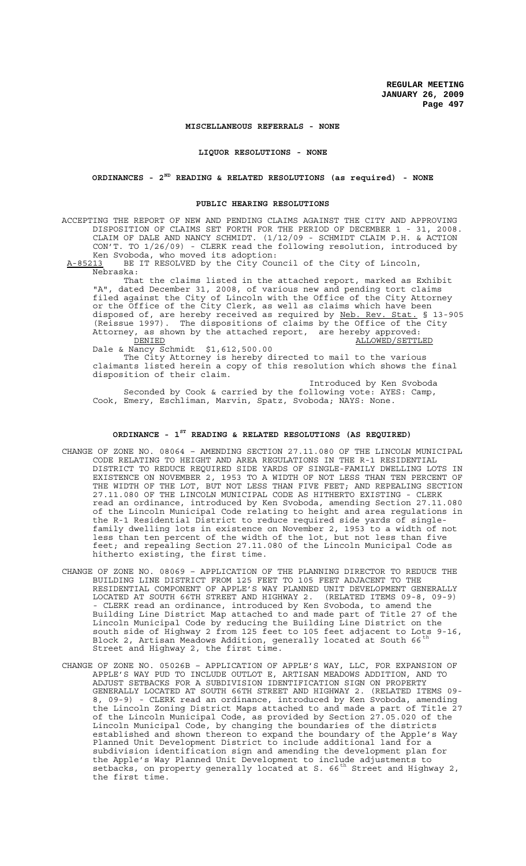### **MISCELLANEOUS REFERRALS - NONE**

**LIQUOR RESOLUTIONS - NONE**

# **ORDINANCES - 2ND READING & RELATED RESOLUTIONS (as required) - NONE**

### **PUBLIC HEARING RESOLUTIONS**

ACCEPTING THE REPORT OF NEW AND PENDING CLAIMS AGAINST THE CITY AND APPROVING DISPOSITION OF CLAIMS SET FORTH FOR THE PERIOD OF DECEMBER 1 - 31, 2008. CLAIM OF DALE AND NANCY SCHMIDT. (1/12/09 - SCHMIDT CLAIM P.H. & ACTION CON'T. TO 1/26/09) - CLERK read the following resolution, introduced by Ken Svoboda, who moved its adoption:

A-85213 BE IT RESOLVED by the City Council of the City of Lincoln, Nebraska:

That the claims listed in the attached report, marked as Exhibit "A", dated December 31, 2008, of various new and pending tort claims filed against the City of Lincoln with the Office of the City Attorney or the Office of the City Clerk, as well as claims which have been disposed of, are hereby received as required by Neb. Rev. Stat. § 13-905 (Reissue 1997). The dispositions of claims by the Office of the City Attorney, as shown by the attached report, are hereby approved: DENIED ALLOWED/SETTLED

Dale & Nancy Schmidt \$1,612,500.00

The City Attorney is hereby directed to mail to the various claimants listed herein a copy of this resolution which shows the final disposition of their claim.

Introduced by Ken Svoboda Seconded by Cook & carried by the following vote: AYES: Camp, Cook, Emery, Eschliman, Marvin, Spatz, Svoboda; NAYS: None.

# **ORDINANCE - 1ST READING & RELATED RESOLUTIONS (AS REQUIRED)**

- CHANGE OF ZONE NO. 08064 AMENDING SECTION 27.11.080 OF THE LINCOLN MUNICIPAL CODE RELATING TO HEIGHT AND AREA REGULATIONS IN THE R-1 RESIDENTIAL DISTRICT TO REDUCE REQUIRED SIDE YARDS OF SINGLE-FAMILY DWELLING LOTS IN EXISTENCE ON NOVEMBER 2, 1953 TO A WIDTH OF NOT LESS THAN TEN PERCENT OF THE WIDTH OF THE LOT, BUT NOT LESS THAN FIVE FEET; AND REPEALING SECTION 27.11.080 OF THE LINCOLN MUNICIPAL CODE AS HITHERTO EXISTING - CLERK read an ordinance, introduced by Ken Svoboda, amending Section 27.11.080 of the Lincoln Municipal Code relating to height and area regulations in the R-1 Residential District to reduce required side yards of singlefamily dwelling lots in existence on November 2, 1953 to a width of not less than ten percent of the width of the lot, but not less than five feet; and repealing Section 27.11.080 of the Lincoln Municipal Code as hitherto existing, the first time.
- CHANGE OF ZONE NO. 08069 APPLICATION OF THE PLANNING DIRECTOR TO REDUCE THE BUILDING LINE DISTRICT FROM 125 FEET TO 105 FEET ADJACENT TO THE RESIDENTIAL COMPONENT OF APPLE'S WAY PLANNED UNIT DEVELOPMENT GENERALLY LOCATED AT SOUTH 66TH STREET AND HIGHWAY 2. (RELATED ITEMS 09-8, 09-9) - CLERK read an ordinance, introduced by Ken Svoboda, to amend the Building Line District Map attached to and made part of Title 27 of the Lincoln Municipal Code by reducing the Building Line District on the south side of Highway 2 from 125 feet to 105 feet adjacent to Lots 9-16, Block 2, Artisan Meadows Addition, generally located at South 66<sup>th</sup> Street and Highway 2, the first time.
- CHANGE OF ZONE NO. 05026B APPLICATION OF APPLE'S WAY, LLC, FOR EXPANSION OF APPLE'S WAY PUD TO INCLUDE OUTLOT E, ARTISAN MEADOWS ADDITION, AND TO ADJUST SETBACKS FOR A SUBDIVISION IDENTIFICATION SIGN ON PROPERTY GENERALLY LOCATED AT SOUTH 66TH STREET AND HIGHWAY 2. (RELATED ITEMS 09- 8, 09-9) - CLERK read an ordinance, introduced by Ken Svoboda, amending the Lincoln Zoning District Maps attached to and made a part of Title 27 of the Lincoln Municipal Code, as provided by Section 27.05.020 of the Lincoln Municipal Code, by changing the boundaries of the districts established and shown thereon to expand the boundary of the Apple's Way Planned Unit Development District to include additional land for a subdivision identification sign and amending the development plan for the Apple's Way Planned Unit Development to include adjustments to setbacks, on property generally located at S. 66<sup>th</sup> Street and Highway 2, the first time.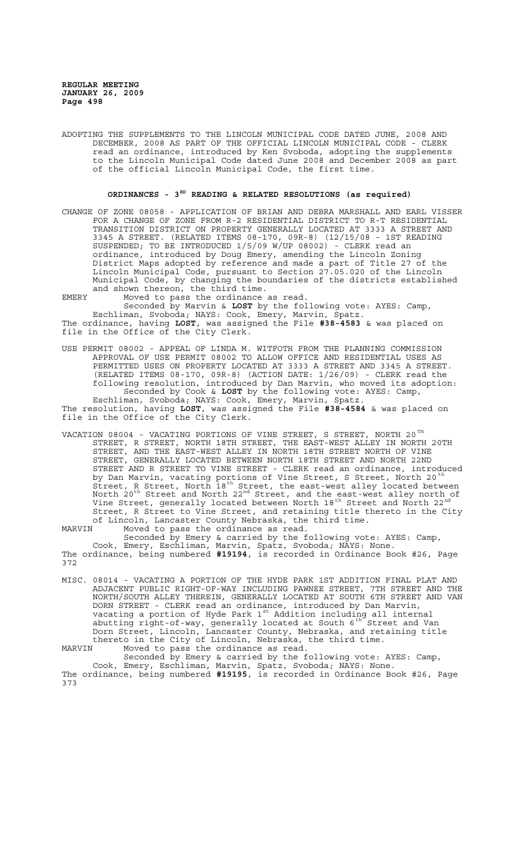ADOPTING THE SUPPLEMENTS TO THE LINCOLN MUNICIPAL CODE DATED JUNE, 2008 AND DECEMBER, 2008 AS PART OF THE OFFICIAL LINCOLN MUNICIPAL CODE - CLERK read an ordinance, introduced by Ken Svoboda, adopting the supplements to the Lincoln Municipal Code dated June 2008 and December 2008 as part of the official Lincoln Municipal Code, the first time.

# **ORDINANCES - 3RD READING & RELATED RESOLUTIONS (as required)**

CHANGE OF ZONE 08058 - APPLICATION OF BRIAN AND DEBRA MARSHALL AND EARL VISSER FOR A CHANGE OF ZONE FROM R-2 RESIDENTIAL DISTRICT TO R-T RESIDENTIAL TRANSITION DISTRICT ON PROPERTY GENERALLY LOCATED AT 3333 A STREET AND 3345 A STREET. (RELATED ITEMS 08-170, 09R-8) (12/15/08 - 1ST READING SUSPENDED; TO BE INTRODUCED 1/5/09 W/UP 08002) - CLERK read an ordinance, introduced by Doug Emery, amending the Lincoln Zoning District Maps adopted by reference and made a part of Title 27 of the Lincoln Municipal Code, pursuant to Section 27.05.020 of the Lincoln Municipal Code, by changing the boundaries of the districts established and shown thereon, the third time.

EMERY Moved to pass the ordinance as read. Seconded by Marvin & **LOST** by the following vote: AYES: Camp, Eschliman, Svoboda; NAYS: Cook, Emery, Marvin, Spatz. The ordinance, having **LOST**, was assigned the File **#38-4583** & was placed on file in the Office of the City Clerk.

USE PERMIT 08002 - APPEAL OF LINDA M. WITFOTH FROM THE PLANNING COMMISSION APPROVAL OF USE PERMIT 08002 TO ALLOW OFFICE AND RESIDENTIAL USES AS PERMITTED USES ON PROPERTY LOCATED AT 3333 A STREET AND 3345 A STREET. (RELATED ITEMS 08-170, 09R-8) (ACTION DATE: 1/26/09) - CLERK read the following resolution, introduced by Dan Marvin, who moved its adoption: Seconded by Cook & **LOST** by the following vote: AYES: Camp, Eschliman, Svoboda; NAYS: Cook, Emery, Marvin, Spatz.

The resolution, having **LOST**, was assigned the File **#38-4584** & was placed on file in the Office of the City Clerk.

VACATION 08004 - VACATING PORTIONS OF VINE STREET, S STREET, NORTH 20  $^{\texttt{TH}}$ STREET, R STREET, NORTH 18TH STREET, THE EAST-WEST ALLEY IN NORTH 20TH STREET, AND THE EAST-WEST ALLEY IN NORTH 18TH STREET NORTH OF VINE STREET, GENERALLY LOCATED BETWEEN NORTH 18TH STREET AND NORTH 22ND STREET AND R STREET TO VINE STREET - CLERK read an ordinance, introduced by Dan Marvin, vacating portions of Vine Street, S Street, North 20<sup>th</sup> Street, R Street, North 18th Street, the east-west alley located between North 20<sup>th</sup> Street and North 22<sup>nd</sup> Street, and the east-west alley north of Vine Street, generally located between North 18<sup>th</sup> Street and North 22<sup>nd</sup> Street, R Street to Vine Street, and retaining title thereto in the City of Lincoln, Lancaster County Nebraska, the third time.

MARVIN Moved to pass the ordinance as read. Seconded by Emery & carried by the following vote: AYES: Camp, Cook, Emery, Eschliman, Marvin, Spatz, Svoboda; NAYS: None. The ordinance, being numbered **#19194**, is recorded in Ordinance Book #26, Page 372

MISC. 08014 - VACATING A PORTION OF THE HYDE PARK 1ST ADDITION FINAL PLAT AND ADJACENT PUBLIC RIGHT-OF-WAY INCLUDING PAWNEE STREET, 7TH STREET AND THE NORTH/SOUTH ALLEY THEREIN, GENERALLY LOCATED AT SOUTH 6TH STREET AND VAN DORN STREET - CLERK read an ordinance, introduced by Dan Marvin, vacating a portion of Hyde Park  $1^{st}$  Addition including all internal abutting right-of-way, generally located at South  $6^{th}$  Street and Van Dorn Street, Lincoln, Lancaster County, Nebraska, and retaining title thereto in the City of Lincoln, Nebraska, the third time.

MARVIN Moved to pass the ordinance as read.

Seconded by Emery & carried by the following vote: AYES: Camp, Cook, Emery, Eschliman, Marvin, Spatz, Svoboda; NAYS: None. The ordinance, being numbered **#19195**, is recorded in Ordinance Book #26, Page 373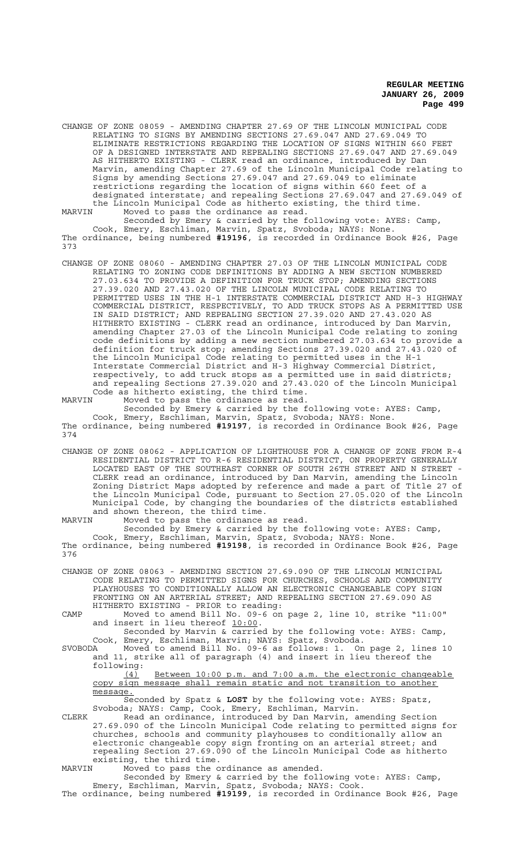CHANGE OF ZONE 08059 - AMENDING CHAPTER 27.69 OF THE LINCOLN MUNICIPAL CODE RELATING TO SIGNS BY AMENDING SECTIONS 27.69.047 AND 27.69.049 TO ELIMINATE RESTRICTIONS REGARDING THE LOCATION OF SIGNS WITHIN 660 FEET OF A DESIGNED INTERSTATE AND REPEALING SECTIONS 27.69.047 AND 27.69.049 AS HITHERTO EXISTING - CLERK read an ordinance, introduced by Dan Marvin, amending Chapter 27.69 of the Lincoln Municipal Code relating to Signs by amending Sections 27.69.047 and 27.69.049 to eliminate restrictions regarding the location of signs within 660 feet of a designated interstate; and repealing Sections 27.69.047 and 27.69.049 of the Lincoln Municipal Code as hitherto existing, the third time. MARVIN Moved to pass the ordinance as read.

Seconded by Emery & carried by the following vote: AYES: Camp, Cook, Emery, Eschliman, Marvin, Spatz, Svoboda; NAYS: None. The ordinance, being numbered **#19196**, is recorded in Ordinance Book #26, Page 373

CHANGE OF ZONE 08060 - AMENDING CHAPTER 27.03 OF THE LINCOLN MUNICIPAL CODE RELATING TO ZONING CODE DEFINITIONS BY ADDING A NEW SECTION NUMBERED 27.03.634 TO PROVIDE A DEFINITION FOR TRUCK STOP; AMENDING SECTIONS 27.39.020 AND 27.43.020 OF THE LINCOLN MUNICIPAL CODE RELATING TO PERMITTED USES IN THE H-1 INTERSTATE COMMERCIAL DISTRICT AND H-3 HIGHWAY COMMERCIAL DISTRICT, RESPECTIVELY, TO ADD TRUCK STOPS AS A PERMITTED USE IN SAID DISTRICT; AND REPEALING SECTION 27.39.020 AND 27.43.020 AS HITHERTO EXISTING - CLERK read an ordinance, introduced by Dan Marvin, amending Chapter 27.03 of the Lincoln Municipal Code relating to zoning code definitions by adding a new section numbered 27.03.634 to provide a definition for truck stop; amending Sections 27.39.020 and 27.43.020 of the Lincoln Municipal Code relating to permitted uses in the H-1 Interstate Commercial District and H-3 Highway Commercial District, respectively, to add truck stops as a permitted use in said districts; and repealing Sections 27.39.020 and 27.43.020 of the Lincoln Municipal Code as hitherto existing, the third time. MARVIN Moved to pass the ordinance as read.

Seconded by Emery & carried by the following vote: AYES: Camp, Cook, Emery, Eschliman, Marvin, Spatz, Svoboda; NAYS: None. The ordinance, being numbered **#19197**, is recorded in Ordinance Book #26, Page 374

CHANGE OF ZONE 08062 - APPLICATION OF LIGHTHOUSE FOR A CHANGE OF ZONE FROM R-4 RESIDENTIAL DISTRICT TO R-6 RESIDENTIAL DISTRICT, ON PROPERTY GENERALLY LOCATED EAST OF THE SOUTHEAST CORNER OF SOUTH 26TH STREET AND N STREET - CLERK read an ordinance, introduced by Dan Marvin, amending the Lincoln Zoning District Maps adopted by reference and made a part of Title 27 of the Lincoln Municipal Code, pursuant to Section 27.05.020 of the Lincoln Municipal Code, by changing the boundaries of the districts established and shown thereon, the third time.

MARVIN Moved to pass the ordinance as read.

Seconded by Emery & carried by the following vote: AYES: Camp, Cook, Emery, Eschliman, Marvin, Spatz, Svoboda; NAYS: None. The ordinance, being numbered **#19198**, is recorded in Ordinance Book #26, Page 376

CHANGE OF ZONE 08063 - AMENDING SECTION 27.69.090 OF THE LINCOLN MUNICIPAL CODE RELATING TO PERMITTED SIGNS FOR CHURCHES, SCHOOLS AND COMMUNITY PLAYHOUSES TO CONDITIONALLY ALLOW AN ELECTRONIC CHANGEABLE COPY SIGN FRONTING ON AN ARTERIAL STREET; AND REPEALING SECTION 27.69.090 AS HITHERTO EXISTING - PRIOR to reading:

CAMP Moved to amend Bill No. 09-6 on page 2, line 10, strike "11:00" and insert in lieu thereof <u>10:00</u>.<br>Seconded by Marvin & carried by the following vote: AYES: Camp,

Cook, Emery, Eschliman, Marvin; NAYS: Spatz, Svoboda.

SVOBODA Moved to amend Bill No. 09-6 as follows: 1. On page 2, lines 10 and 11, strike all of paragraph (4) and insert in lieu thereof the following:

(4) Between 10:00 p.m. and 7:00 a.m. the electronic changeable copy sign message shall remain static and not transition to another message.

Seconded by Spatz & **LOST** by the following vote: AYES: Spatz, Svoboda; NAYS: Camp, Cook, Emery, Eschliman, Marvin.

CLERK Read an ordinance, introduced by Dan Marvin, amending Section 27.69.090 of the Lincoln Municipal Code relating to permitted signs for churches, schools and community playhouses to conditionally allow an electronic changeable copy sign fronting on an arterial street; and repealing Section 27.69.090 of the Lincoln Municipal Code as hitherto existing, the third time.

MARVIN Moved to pass the ordinance as amended.

Seconded by Emery & carried by the following vote: AYES: Camp, Emery, Eschliman, Marvin, Spatz, Svoboda; NAYS: Cook. The ordinance, being numbered **#19199**, is recorded in Ordinance Book #26, Page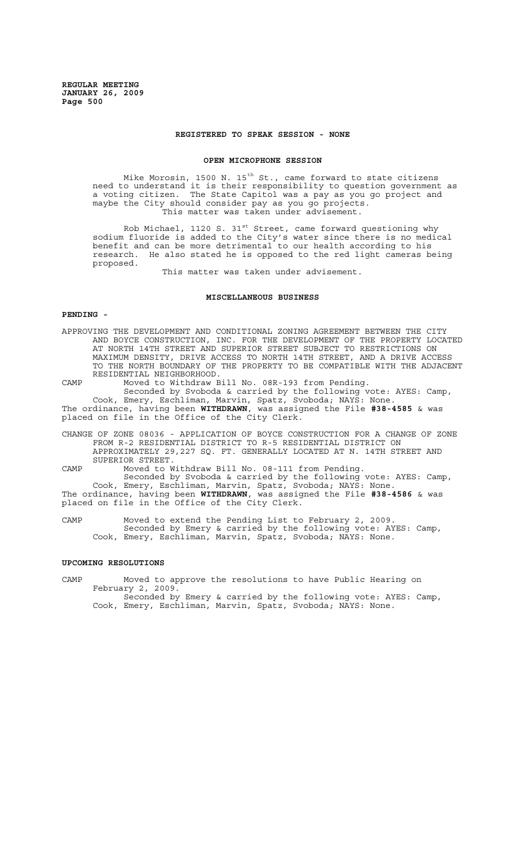### **REGISTERED TO SPEAK SESSION - NONE**

#### **OPEN MICROPHONE SESSION**

Mike Morosin, 1500 N. 15 $^{\rm th}$  St., came forward to state citizens need to understand it is their responsibility to question government as a voting citizen. The State Capitol was a pay as you go project and maybe the City should consider pay as you go projects. This matter was taken under advisement.

Rob Michael, 1120 S. 31<sup>st</sup> Street, came forward questioning why sodium fluoride is added to the City's water since there is no medical benefit and can be more detrimental to our health according to his research. He also stated he is opposed to the red light cameras being proposed.

This matter was taken under advisement.

## **MISCELLANEOUS BUSINESS**

## **PENDING -**

APPROVING THE DEVELOPMENT AND CONDITIONAL ZONING AGREEMENT BETWEEN THE CITY AND BOYCE CONSTRUCTION, INC. FOR THE DEVELOPMENT OF THE PROPERTY LOCATED AT NORTH 14TH STREET AND SUPERIOR STREET SUBJECT TO RESTRICTIONS ON MAXIMUM DENSITY, DRIVE ACCESS TO NORTH 14TH STREET, AND A DRIVE ACCESS TO THE NORTH BOUNDARY OF THE PROPERTY TO BE COMPATIBLE WITH THE ADJACENT RESIDENTIAL NEIGHBORHOOD.

CAMP Moved to Withdraw Bill No. 08R-193 from Pending.

Seconded by Svoboda & carried by the following vote: AYES: Camp, Cook, Emery, Eschliman, Marvin, Spatz, Svoboda; NAYS: None. The ordinance, having been **WITHDRAWN**, was assigned the File **#38-4585** & was placed on file in the Office of the City Clerk.

CHANGE OF ZONE 08036 - APPLICATION OF BOYCE CONSTRUCTION FOR A CHANGE OF ZONE FROM R-2 RESIDENTIAL DISTRICT TO R-5 RESIDENTIAL DISTRICT ON APPROXIMATELY 29,227 SQ. FT. GENERALLY LOCATED AT N. 14TH STREET AND SUPERIOR STREET.

CAMP Moved to Withdraw Bill No. 08-111 from Pending.

Seconded by Svoboda & carried by the following vote: AYES: Camp, Cook, Emery, Eschliman, Marvin, Spatz, Svoboda; NAYS: None. The ordinance, having been **WITHDRAWN**, was assigned the File **#38-4586** & was placed on file in the Office of the City Clerk.

CAMP Moved to extend the Pending List to February 2, 2009. Seconded by Emery & carried by the following vote: AYES: Camp, Cook, Emery, Eschliman, Marvin, Spatz, Svoboda; NAYS: None.

## **UPCOMING RESOLUTIONS**

CAMP Moved to approve the resolutions to have Public Hearing on February 2, 2009. Seconded by Emery & carried by the following vote: AYES: Camp,

Cook, Emery, Eschliman, Marvin, Spatz, Svoboda; NAYS: None.